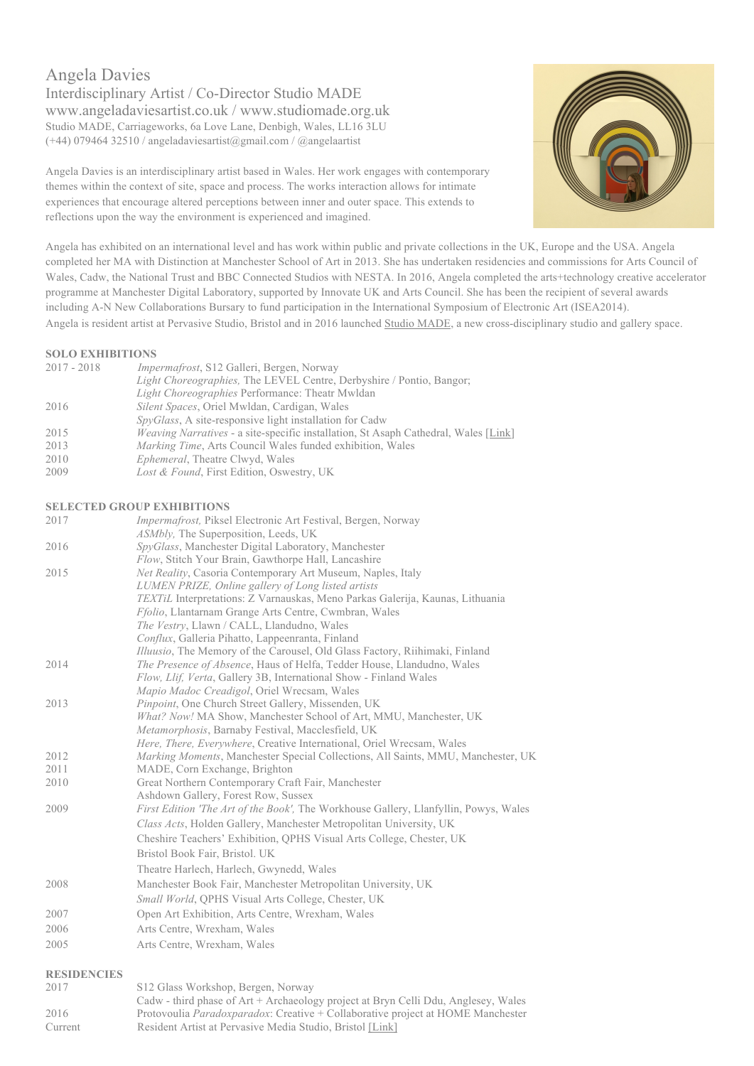Angela Davies Interdisciplinary Artist / Co-Director Studio MADE www.angeladaviesartist.co.uk / www.studiomade.org.uk Studio MADE, Carriageworks, 6a Love Lane, Denbigh, Wales, LL16 3LU (+44) 079464 32510 / angeladaviesartist@gmail.com / @angelaartist

Angela Davies is an interdisciplinary artist based in Wales. Her work engages with contemporary themes within the context of site, space and process. The works interaction allows for intimate experiences that encourage altered perceptions between inner and outer space. This extends to reflections upon the way the environment is experienced and imagined.

Angela has exhibited on an international level and has work within public and private collections in the UK, Europe and the USA. Angela completed her MA with Distinction at Manchester School of Art in 2013. She has undertaken residencies and commissions for Arts Council of Wales, Cadw, the National Trust and BBC Connected Studios with NESTA. In 2016, Angela completed the arts+technology creative accelerator programme at Manchester Digital Laboratory, supported by Innovate UK and Arts Council. She has been the recipient of several awards including A-N New Collaborations Bursary to fund participation in the International Symposium of Electronic Art (ISEA2014). Angela is resident artist at Pervasive Studio, Bristol and in 2016 launched Studio MADE, a new cross-disciplinary studio and gallery space.

## **SOLO EXHIBITIONS**

| 2017 - 2018 | <i>Impermafrost</i> , S12 Galleri, Bergen, Norway                                          |
|-------------|--------------------------------------------------------------------------------------------|
|             | <i>Light Choreographies</i> , The LEVEL Centre, Derbyshire / Pontio, Bangor;               |
|             | <i>Light Choreographies Performance: Theatr Mwldan</i>                                     |
| 2016        | <i>Silent Spaces, Oriel Mwldan, Cardigan, Wales</i>                                        |
|             | <i>SpyGlass</i> , A site-responsive light installation for Cadw                            |
| 2015        | <i>Weaving Narratives</i> - a site-specific installation, St Asaph Cathedral, Wales [Link] |
| 2013        | <i>Marking Time, Arts Council Wales funded exhibition, Wales</i>                           |
| 2010        | <i>Ephemeral</i> , Theatre Clwyd, Wales                                                    |
| 2009        | Lost & Found, First Edition, Oswestry, UK                                                  |

# **SELECTED GROUP EXHIBITIONS**

|      | SELECTED GROUT EXHIBITIONS                                                                                        |
|------|-------------------------------------------------------------------------------------------------------------------|
| 2017 | Impermafrost, Piksel Electronic Art Festival, Bergen, Norway                                                      |
|      | <i>ASMbly</i> , The Superposition, Leeds, UK                                                                      |
| 2016 | SpyGlass, Manchester Digital Laboratory, Manchester                                                               |
|      | Flow, Stitch Your Brain, Gawthorpe Hall, Lancashire                                                               |
| 2015 | Net Reality, Casoria Contemporary Art Museum, Naples, Italy                                                       |
|      | LUMEN PRIZE, Online gallery of Long listed artists                                                                |
|      | TEXTIL Interpretations: Z Varnauskas, Meno Parkas Galerija, Kaunas, Lithuania                                     |
|      | <i>Ffolio</i> , Llantarnam Grange Arts Centre, Cwmbran, Wales                                                     |
|      | The Vestry, Llawn / CALL, Llandudno, Wales                                                                        |
|      | Conflux, Galleria Pihatto, Lappeenranta, Finland                                                                  |
|      | <i>Illuusio</i> , The Memory of the Carousel, Old Glass Factory, Riihimaki, Finland                               |
| 2014 | The Presence of Absence, Haus of Helfa, Tedder House, Llandudno, Wales                                            |
|      | Flow, Llif, Verta, Gallery 3B, International Show - Finland Wales                                                 |
|      | Mapio Madoc Creadigol, Oriel Wrecsam, Wales                                                                       |
| 2013 | Pinpoint, One Church Street Gallery, Missenden, UK                                                                |
|      | What? Now! MA Show, Manchester School of Art, MMU, Manchester, UK                                                 |
|      | Metamorphosis, Barnaby Festival, Macclesfield, UK                                                                 |
| 2012 | <i>Here, There, Everywhere, Creative International, Oriel Wrecsam, Wales</i>                                      |
| 2011 | Marking Moments, Manchester Special Collections, All Saints, MMU, Manchester, UK<br>MADE, Corn Exchange, Brighton |
| 2010 | Great Northern Contemporary Craft Fair, Manchester                                                                |
|      | Ashdown Gallery, Forest Row, Sussex                                                                               |
| 2009 | <i>First Edition 'The Art of the Book'</i> , The Workhouse Gallery, Llanfyllin, Powys, Wales                      |
|      | Class Acts, Holden Gallery, Manchester Metropolitan University, UK                                                |
|      | Cheshire Teachers' Exhibition, QPHS Visual Arts College, Chester, UK                                              |
|      | Bristol Book Fair, Bristol. UK                                                                                    |
|      | Theatre Harlech, Harlech, Gwynedd, Wales                                                                          |
| 2008 | Manchester Book Fair, Manchester Metropolitan University, UK                                                      |
|      | <i>Small World</i> , QPHS Visual Arts College, Chester, UK                                                        |
| 2007 | Open Art Exhibition, Arts Centre, Wrexham, Wales                                                                  |
| 2006 | Arts Centre, Wrexham, Wales                                                                                       |
| 2005 | Arts Centre, Wrexham, Wales                                                                                       |
|      |                                                                                                                   |

### **RESIDENCIES**

| 2017    | S12 Glass Workshop, Bergen, Norway                                                      |
|---------|-----------------------------------------------------------------------------------------|
|         | Cadw - third phase of Art + Archaeology project at Bryn Celli Ddu, Anglesey, Wales      |
| 2016    | Protovoulia <i>Paradoxparadox</i> : Creative + Collaborative project at HOME Manchester |
| Current | Resident Artist at Pervasive Media Studio, Bristol [Link]                               |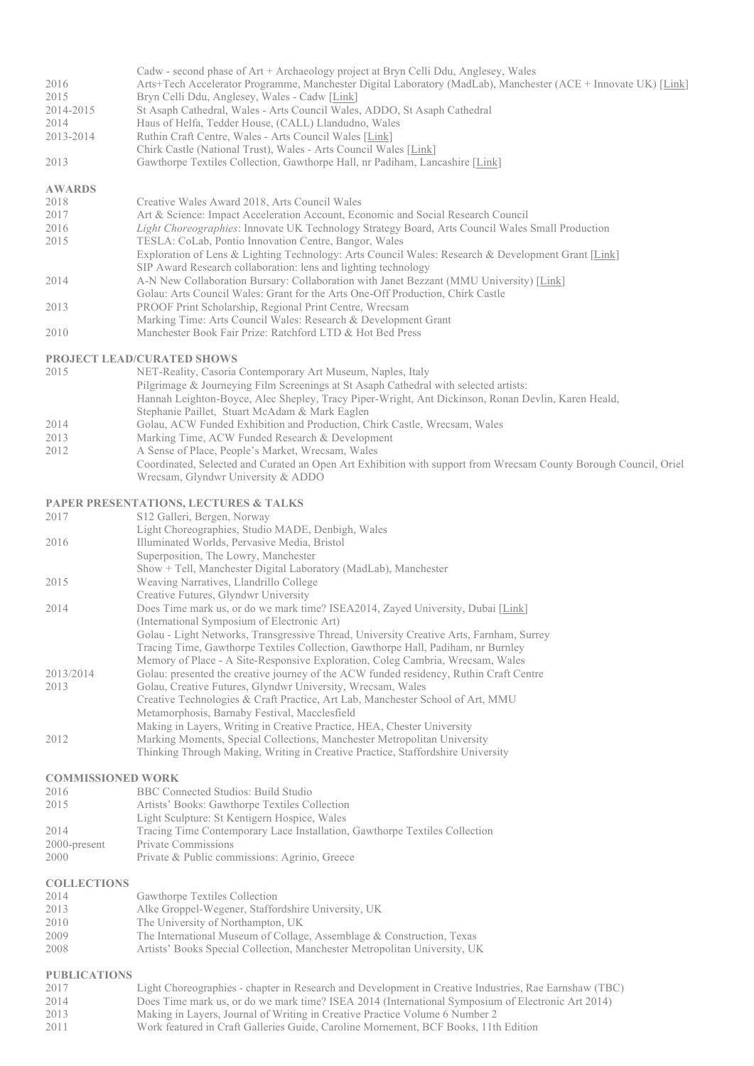|           | Cadw - second phase of Art + Archaeology project at Bryn Celli Ddu, Anglesey, Wales                            |
|-----------|----------------------------------------------------------------------------------------------------------------|
| 2016      | Arts+Tech Accelerator Programme, Manchester Digital Laboratory (MadLab), Manchester (ACE + Innovate UK) [Link] |
| 2015      | Bryn Celli Ddu, Anglesey, Wales - Cadw [Link]                                                                  |
| 2014-2015 | St Asaph Cathedral, Wales - Arts Council Wales, ADDO, St Asaph Cathedral                                       |
| 2014      | Haus of Helfa, Tedder House, (CALL) Llandudno, Wales                                                           |
| 2013-2014 | Ruthin Craft Centre, Wales - Arts Council Wales [Link]                                                         |
|           | Chirk Castle (National Trust), Wales - Arts Council Wales [Link]                                               |
| 2013      | Gawthorpe Textiles Collection, Gawthorpe Hall, nr Padiham, Lancashire [Link]                                   |

#### **AWARDS**

| 2018 | Creative Wales Award 2018, Arts Council Wales                                                           |
|------|---------------------------------------------------------------------------------------------------------|
| 2017 | Art & Science: Impact Acceleration Account, Economic and Social Research Council                        |
| 2016 | <i>Light Choreographies:</i> Innovate UK Technology Strategy Board, Arts Council Wales Small Production |
| 2015 | TESLA: CoLab, Pontio Innovation Centre, Bangor, Wales                                                   |
|      | Exploration of Lens & Lighting Technology: Arts Council Wales: Research & Development Grant [Link]      |
|      | SIP Award Research collaboration: lens and lighting technology                                          |
| 2014 | A-N New Collaboration Bursary: Collaboration with Janet Bezzant (MMU University) [Link]                 |
|      | Golau: Arts Council Wales: Grant for the Arts One-Off Production, Chirk Castle                          |
| 2013 | PROOF Print Scholarship, Regional Print Centre, Wrecsam                                                 |
|      | Marking Time: Arts Council Wales: Research & Development Grant                                          |
| 2010 | Manchester Book Fair Prize: Ratchford LTD & Hot Bed Press                                               |

#### **PROJECT LEAD/CURATED SHOWS**

2015 NET-Reality, Casoria Contemporary Art Museum, Naples, Italy Pilgrimage & Journeying Film Screenings at St Asaph Cathedral with selected artists: Hannah Leighton-Boyce, Alec Shepley, Tracy Piper-Wright, Ant Dickinson, Ronan Devlin, Karen Heald, Stephanie Paillet, Stuart McAdam & Mark Eaglen<br>2014 – Golau, ACW Funded Exhibition and Production, Cl 2014 Golau, ACW Funded Exhibition and Production, Chirk Castle, Wrecsam, Wales<br>2013 Marking Time, ACW Funded Research & Development Marking Time, ACW Funded Research & Development 2012 A Sense of Place, People's Market, Wrecsam, Wales Coordinated, Selected and Curated an Open Art Exhibition with support from Wrecsam County Borough Council, Oriel Wrecsam, Glyndwr University & ADDO

## **PAPER PRESENTATIONS, LECTURES & TALKS**

| 2017      | S12 Galleri, Bergen, Norway                                                             |
|-----------|-----------------------------------------------------------------------------------------|
|           | Light Choreographies, Studio MADE, Denbigh, Wales                                       |
| 2016      | Illuminated Worlds, Pervasive Media, Bristol                                            |
|           | Superposition, The Lowry, Manchester                                                    |
|           | Show + Tell, Manchester Digital Laboratory (MadLab), Manchester                         |
| 2015      | Weaving Narratives, Llandrillo College                                                  |
|           | Creative Futures, Glyndwr University                                                    |
| 2014      | Does Time mark us, or do we mark time? ISEA2014, Zayed University, Dubai [Link]         |
|           | (International Symposium of Electronic Art)                                             |
|           | Golau - Light Networks, Transgressive Thread, University Creative Arts, Farnham, Surrey |
|           | Tracing Time, Gawthorpe Textiles Collection, Gawthorpe Hall, Padiham, nr Burnley        |
|           | Memory of Place - A Site-Responsive Exploration, Coleg Cambria, Wrecsam, Wales          |
| 2013/2014 | Golau: presented the creative journey of the ACW funded residency, Ruthin Craft Centre  |
| 2013      | Golau, Creative Futures, Glyndwr University, Wrecsam, Wales                             |
|           | Creative Technologies & Craft Practice, Art Lab, Manchester School of Art, MMU          |
|           | Metamorphosis, Barnaby Festival, Macclesfield                                           |
|           | Making in Layers, Writing in Creative Practice, HEA, Chester University                 |
| 2012      | Marking Moments, Special Collections, Manchester Metropolitan University                |
|           | Thinking Through Making, Writing in Creative Practice, Staffordshire University         |
|           |                                                                                         |

#### **COMMISSIONED WORK**

| 2016            | BBC Connected Studios: Build Studio                                        |
|-----------------|----------------------------------------------------------------------------|
| 2015            | Artists' Books: Gawthorpe Textiles Collection                              |
|                 | Light Sculpture: St Kentigern Hospice, Wales                               |
| 2014            | Tracing Time Contemporary Lace Installation, Gawthorpe Textiles Collection |
| $2000$ -present | Private Commissions                                                        |
| 2000            | Private & Public commissions: Agrinio, Greece                              |

## **COLLECTIONS**

| 2014 | Gawthorpe Textiles Collection                                             |
|------|---------------------------------------------------------------------------|
| 2013 | Alke Groppel-Wegener, Staffordshire University, UK                        |
| 2010 | The University of Northampton, UK                                         |
| 2009 | The International Museum of Collage, Assemblage & Construction, Texas     |
| 2008 | Artists' Books Special Collection, Manchester Metropolitan University, UK |

#### **PUBLICATIONS**

| 2017 | Light Choreographies - chapter in Research and Development in Creative Industries, Rae Earnshaw (TBC) |
|------|-------------------------------------------------------------------------------------------------------|
| 2014 | Does Time mark us, or do we mark time? ISEA 2014 (International Symposium of Electronic Art 2014)     |
| 2013 | Making in Layers, Journal of Writing in Creative Practice Volume 6 Number 2                           |
| 2011 | Work featured in Craft Galleries Guide, Caroline Mornement, BCF Books, 11th Edition                   |